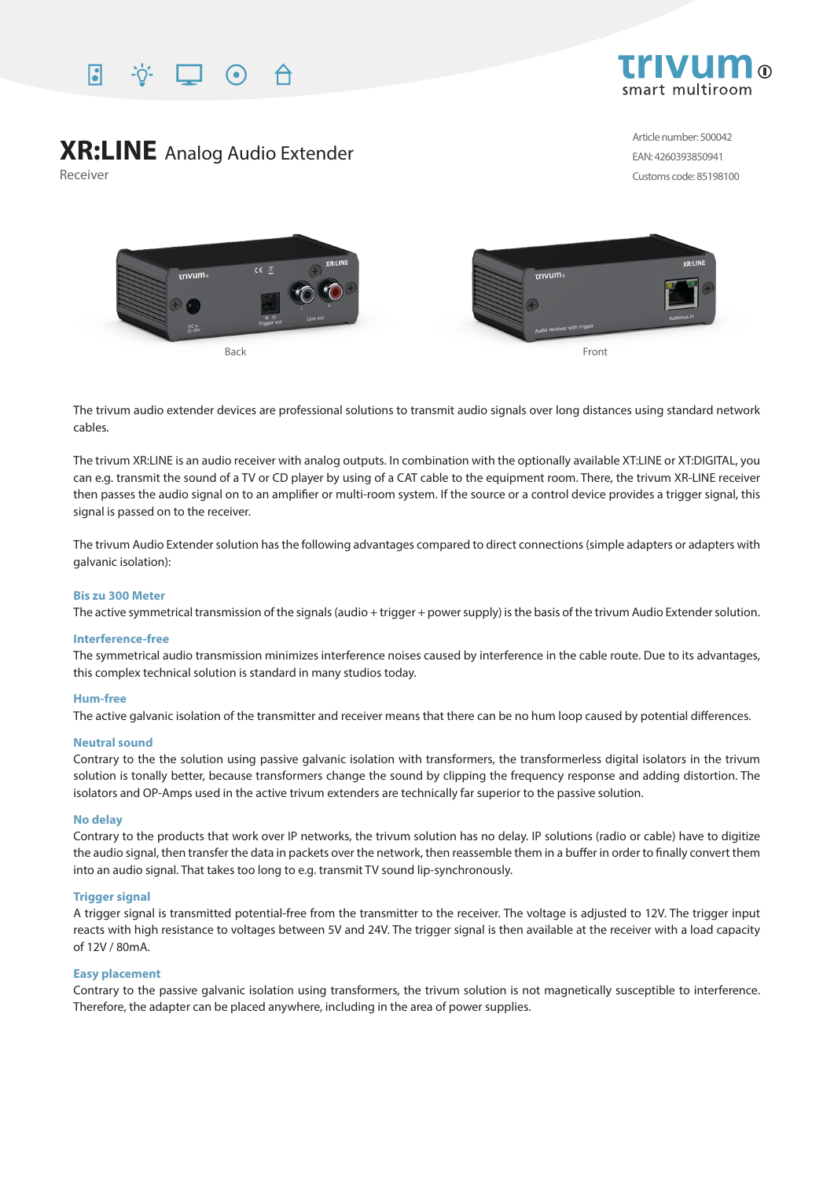



# **XR:LINE** Analog Audio Extender

Receiver

Article number: 500042 EAN: 4260393850941 Customs code: 85198100



The trivum audio extender devices are professional solutions to transmit audio signals over long distances using standard network cables.

The trivum XR:LINE is an audio receiver with analog outputs. In combination with the optionally available XT:LINE or XT:DIGITAL, you can e.g. transmit the sound of a TV or CD player by using of a CAT cable to the equipment room. There, the trivum XR-LINE receiver then passes the audio signal on to an amplifier or multi-room system. If the source or a control device provides a trigger signal, this signal is passed on to the receiver.

The trivum Audio Extender solution has the following advantages compared to direct connections (simple adapters or adapters with galvanic isolation):

#### **Bis zu 300 Meter**

The active symmetrical transmission of the signals (audio + trigger + power supply) is the basis of the trivum Audio Extender solution.

#### **Interference-free**

The symmetrical audio transmission minimizes interference noises caused by interference in the cable route. Due to its advantages, this complex technical solution is standard in many studios today.

#### **Hum-free**

The active galvanic isolation of the transmitter and receiver means that there can be no hum loop caused by potential differences.

#### **Neutral sound**

Contrary to the the solution using passive galvanic isolation with transformers, the transformerless digital isolators in the trivum solution is tonally better, because transformers change the sound by clipping the frequency response and adding distortion. The isolators and OP-Amps used in the active trivum extenders are technically far superior to the passive solution.

#### **No delay**

Contrary to the products that work over IP networks, the trivum solution has no delay. IP solutions (radio or cable) have to digitize the audio signal, then transfer the data in packets over the network, then reassemble them in a buffer in order to finally convert them into an audio signal. That takes too long to e.g. transmit TV sound lip-synchronously.

### **Trigger signal**

A trigger signal is transmitted potential-free from the transmitter to the receiver. The voltage is adjusted to 12V. The trigger input reacts with high resistance to voltages between 5V and 24V. The trigger signal is then available at the receiver with a load capacity of 12V / 80mA.

#### **Easy placement**

Contrary to the passive galvanic isolation using transformers, the trivum solution is not magnetically susceptible to interference. Therefore, the adapter can be placed anywhere, including in the area of power supplies.